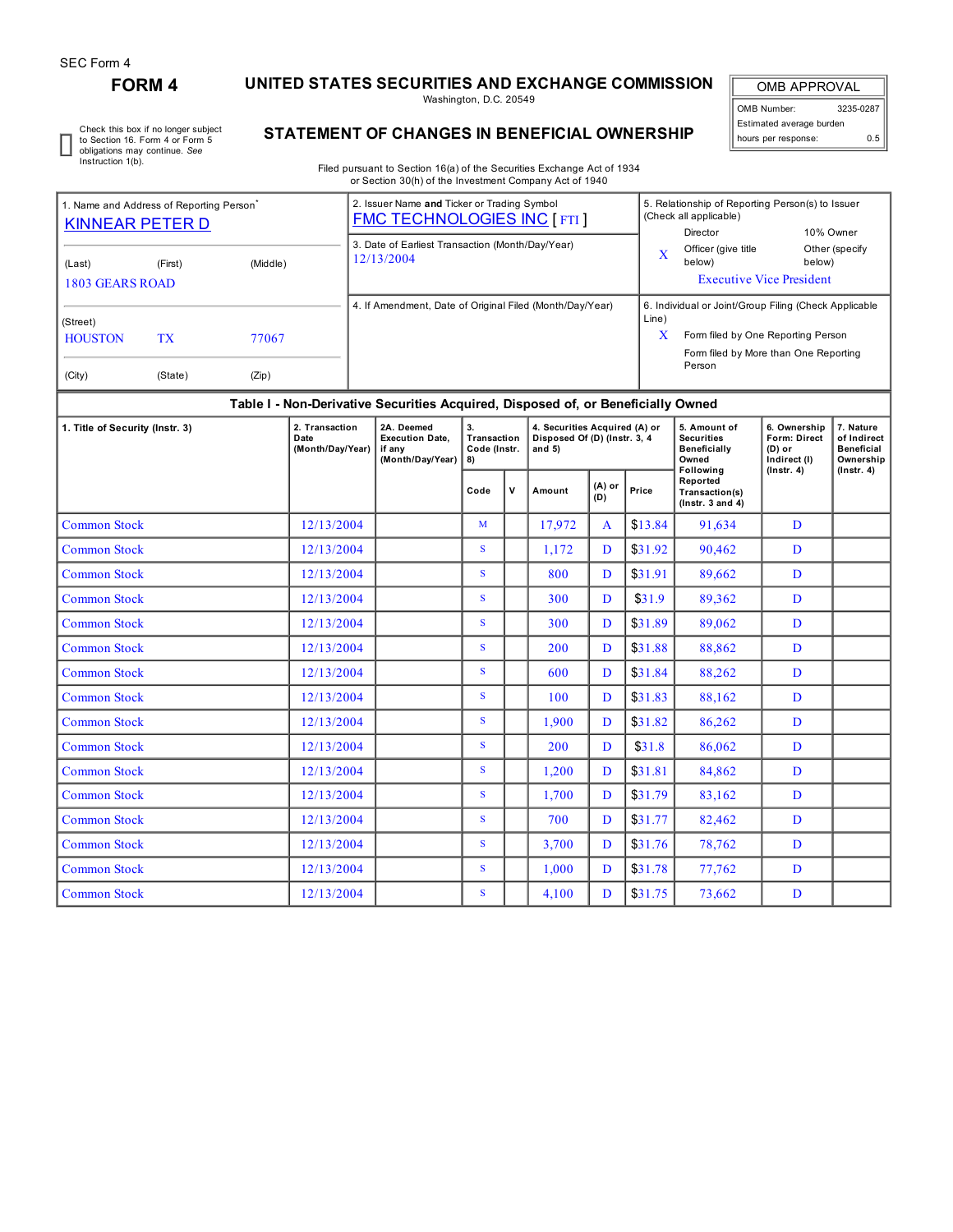## **FORM 4 UNITED STATES SECURITIES AND EXCHANGE COMMISSION**

Washington, D.C. 20549

OMB APPROVAL OMB Number: 3235-0287 Estimated average burden hours per response: 0.5

Check this box if no longer subject to Section 16. Form 4 or Form 5 obligations may continue. *See* Instruction 1(b).

## **STATEMENT OF CHANGES IN BENEFICIAL OWNERSHIP**

Filed pursuant to Section 16(a) of the Securities Exchange Act of 1934 or Section 30(h) of the Investment Company Act of 1940

| 1. Name and Address of Reporting Person <sup>®</sup>                |                                                                                  |  |  | 2. Issuer Name and Ticker or Trading Symbol<br><b>FMC TECHNOLOGIES INC [FTI]</b>                                                                                                                                         |  |                                                                                                                                                                                                                                     |   | 5. Relationship of Reporting Person(s) to Issuer<br>(Check all applicable) |                                           |                             |  |  |  |
|---------------------------------------------------------------------|----------------------------------------------------------------------------------|--|--|--------------------------------------------------------------------------------------------------------------------------------------------------------------------------------------------------------------------------|--|-------------------------------------------------------------------------------------------------------------------------------------------------------------------------------------------------------------------------------------|---|----------------------------------------------------------------------------|-------------------------------------------|-----------------------------|--|--|--|
| KINNEAR PETER D<br>(Middle)<br>(First)<br>(Last)<br>1803 GEARS ROAD |                                                                                  |  |  | 3. Date of Earliest Transaction (Month/Day/Year)<br>12/13/2004                                                                                                                                                           |  |                                                                                                                                                                                                                                     | X | Director<br>Officer (give title)<br>below)                                 | below)<br><b>Executive Vice President</b> | 10% Owner<br>Other (specify |  |  |  |
| (Street)<br><b>HOUSTON</b><br>(City)                                | <b>TX</b><br>77067<br>(State)<br>(Zip)                                           |  |  | 4. If Amendment, Date of Original Filed (Month/Day/Year)<br>6. Individual or Joint/Group Filing (Check Applicable<br>Line)<br>X<br>Form filed by One Reporting Person<br>Form filed by More than One Reporting<br>Person |  |                                                                                                                                                                                                                                     |   |                                                                            |                                           |                             |  |  |  |
|                                                                     | Table I - Non-Derivative Securities Acquired, Disposed of, or Beneficially Owned |  |  |                                                                                                                                                                                                                          |  |                                                                                                                                                                                                                                     |   |                                                                            |                                           |                             |  |  |  |
|                                                                     |                                                                                  |  |  | السادة المصادة                                                                                                                                                                                                           |  | $\overline{a}$ . The contract of the contract of the contract of the contract of the contract of the contract of the contract of the contract of the contract of the contract of the contract of the contract of the contract of th |   |                                                                            | $\sim$ $\sim$ $\sim$                      | $-1$                        |  |  |  |

| 2. Transaction<br>1. Title of Security (Instr. 3)<br>Date<br>(Month/Day/Year)<br>if any |            | 2A. Deemed<br><b>Execution Date.</b><br>(Month/Day/Year) | 3.<br>Transaction<br>Code (Instr.<br>8) |   | 4. Securities Acquired (A) or<br>Disposed Of (D) (Instr. 3, 4<br>and $5)$ |                 |         | 5. Amount of<br><b>Securities</b><br>Beneficially<br>Owned<br>Following | 6. Ownership<br>Form: Direct<br>$(D)$ or<br>Indirect (I) | 7. Nature<br>of Indirect<br><b>Beneficial</b><br>Ownership |
|-----------------------------------------------------------------------------------------|------------|----------------------------------------------------------|-----------------------------------------|---|---------------------------------------------------------------------------|-----------------|---------|-------------------------------------------------------------------------|----------------------------------------------------------|------------------------------------------------------------|
|                                                                                         |            |                                                          | Code                                    | V | Amount                                                                    | $(A)$ or<br>(D) |         | Reported<br>Transaction(s)<br>$($ lnstr. $3$ and $4)$                   | $($ Instr. 4 $)$                                         | $($ lnstr. 4 $)$                                           |
| <b>Common Stock</b>                                                                     | 12/13/2004 |                                                          | M                                       |   | 17,972                                                                    | $\mathbf{A}$    | \$13.84 | 91,634                                                                  | D                                                        |                                                            |
| <b>Common Stock</b>                                                                     | 12/13/2004 |                                                          | S.                                      |   | 1,172                                                                     | D               | \$31.92 | 90,462                                                                  | D                                                        |                                                            |
| <b>Common Stock</b>                                                                     | 12/13/2004 |                                                          | S.                                      |   | 800                                                                       | D               | \$31.91 | 89,662                                                                  | D                                                        |                                                            |
| <b>Common Stock</b>                                                                     | 12/13/2004 |                                                          | S                                       |   | 300                                                                       | D               | \$31.9  | 89,362                                                                  | D                                                        |                                                            |
| <b>Common Stock</b>                                                                     | 12/13/2004 |                                                          | S                                       |   | 300                                                                       | D               | \$31.89 | 89,062                                                                  | D                                                        |                                                            |
| <b>Common Stock</b>                                                                     | 12/13/2004 |                                                          | S.                                      |   | 200                                                                       | D               | \$31.88 | 88,862                                                                  | D                                                        |                                                            |
| <b>Common Stock</b>                                                                     | 12/13/2004 |                                                          | S.                                      |   | 600                                                                       | D               | \$31.84 | 88,262                                                                  | D                                                        |                                                            |
| <b>Common Stock</b>                                                                     | 12/13/2004 |                                                          | S.                                      |   | 100                                                                       | D               | \$31.83 | 88,162                                                                  | D                                                        |                                                            |
| <b>Common Stock</b>                                                                     | 12/13/2004 |                                                          | S                                       |   | 1.900                                                                     | D               | \$31.82 | 86,262                                                                  | D                                                        |                                                            |
| <b>Common Stock</b>                                                                     | 12/13/2004 |                                                          | S                                       |   | 200                                                                       | D               | \$31.8  | 86,062                                                                  | D                                                        |                                                            |
| <b>Common Stock</b>                                                                     | 12/13/2004 |                                                          | S.                                      |   | 1,200                                                                     | D               | \$31.81 | 84,862                                                                  | D                                                        |                                                            |
| <b>Common Stock</b>                                                                     | 12/13/2004 |                                                          | S.                                      |   | 1,700                                                                     | D               | \$31.79 | 83,162                                                                  | D                                                        |                                                            |
| <b>Common Stock</b>                                                                     | 12/13/2004 |                                                          | S                                       |   | 700                                                                       | D               | \$31.77 | 82,462                                                                  | D                                                        |                                                            |
| <b>Common Stock</b>                                                                     | 12/13/2004 |                                                          | S                                       |   | 3,700                                                                     | D               | \$31.76 | 78,762                                                                  | D                                                        |                                                            |
| <b>Common Stock</b>                                                                     | 12/13/2004 |                                                          | S                                       |   | 1,000                                                                     | D               | \$31.78 | 77,762                                                                  | D                                                        |                                                            |
| <b>Common Stock</b>                                                                     | 12/13/2004 |                                                          | S.                                      |   | 4,100                                                                     | D               | \$31.75 | 73,662                                                                  | D                                                        |                                                            |